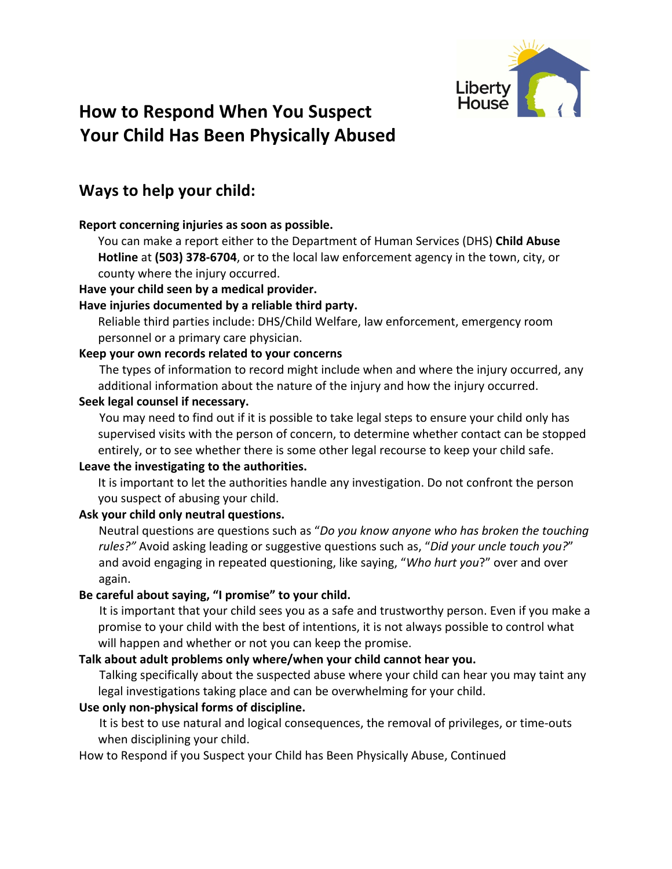

# Liberty<br>How to Respond When You Suspect House Your Child Has Been Physically Abused

# **Ways to help your child:**

# **Report concerning injuries as soon as possible.**

You can make a report either to the Department of Human Services (DHS) Child Abuse **Hotline** at (503) 378-6704, or to the local law enforcement agency in the town, city, or county where the injury occurred.

# Have your child seen by a medical provider.

# Have injuries documented by a reliable third party.

Reliable third parties include: DHS/Child Welfare, law enforcement, emergency room personnel or a primary care physician.

# Keep your own records related to your concerns

The types of information to record might include when and where the injury occurred, any additional information about the nature of the injury and how the injury occurred.

# **Seek legal counsel if necessary.**

You may need to find out if it is possible to take legal steps to ensure your child only has supervised visits with the person of concern, to determine whether contact can be stopped entirely, or to see whether there is some other legal recourse to keep your child safe.

# Leave the investigating to the authorities.

It is important to let the authorities handle any investigation. Do not confront the person you suspect of abusing your child.

# Ask your child only neutral questions.

Neutral questions are questions such as "*Do you know anyone who has broken the touching* rules?" Avoid asking leading or suggestive questions such as, "*Did your uncle touch you?*" and avoid engaging in repeated questioning, like saying, "*Who hurt you*?" over and over again.

# Be careful about saying, "I promise" to your child.

It is important that your child sees you as a safe and trustworthy person. Even if you make a promise to your child with the best of intentions, it is not always possible to control what will happen and whether or not you can keep the promise.

#### Talk about adult problems only where/when your child cannot hear you.

Talking specifically about the suspected abuse where your child can hear you may taint any legal investigations taking place and can be overwhelming for your child.

# Use only non-physical forms of discipline.

It is best to use natural and logical consequences, the removal of privileges, or time-outs when disciplining your child.

How to Respond if you Suspect your Child has Been Physically Abuse, Continued